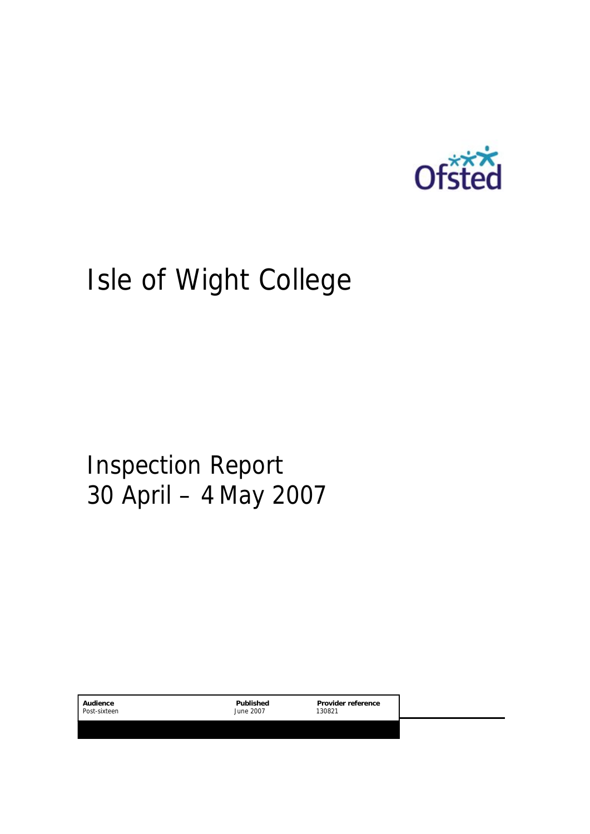

# Isle of Wight College

Inspection Report 30 April – 4 May 2007

| June 2007<br>130821 | Post-sixteen |
|---------------------|--------------|
|---------------------|--------------|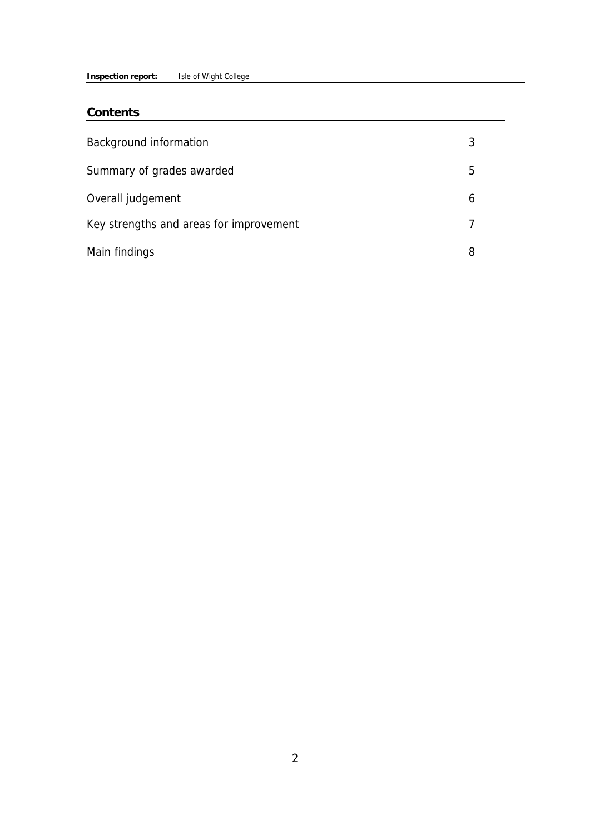#### **Inspection report:** Isle of Wight College

#### **Contents**

| Background information                  | 3 |
|-----------------------------------------|---|
| Summary of grades awarded               | 5 |
| Overall judgement                       | h |
| Key strengths and areas for improvement |   |
| Main findings                           |   |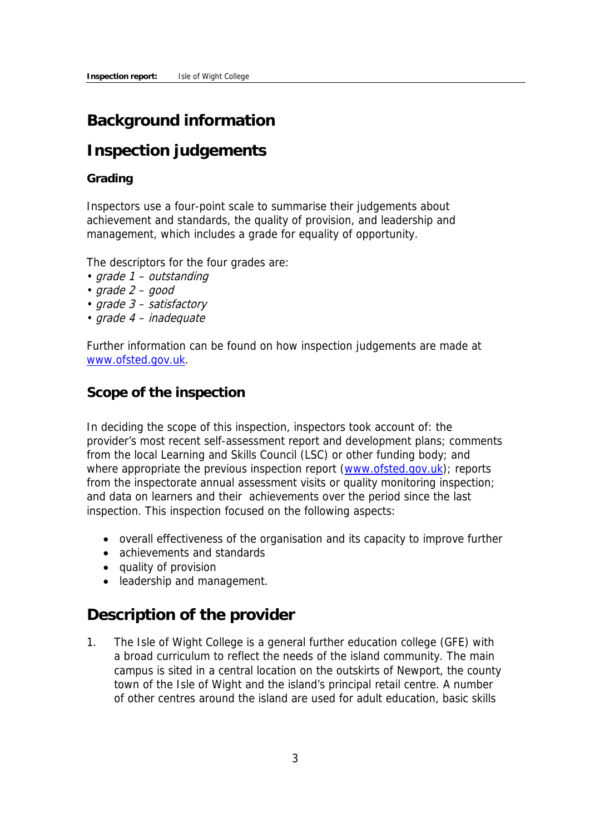## **Background information**

# **Inspection judgements**

#### **Grading**

Inspectors use a four-point scale to summarise their judgements about achievement and standards, the quality of provision, and leadership and management, which includes a grade for equality of opportunity.

The descriptors for the four grades are:

- grade 1 outstanding
- $grade 2 good$
- grade 3 satisfactory
- grade 4 inadequate

Further information can be found on how inspection judgements are made at www.ofsted.gov.uk.

## **Scope of the inspection**

In deciding the scope of this inspection, inspectors took account of: the provider's most recent self-assessment report and development plans; comments from the local Learning and Skills Council (LSC) or other funding body; and where appropriate the previous inspection report (www.ofsted.gov.uk); reports from the inspectorate annual assessment visits or quality monitoring inspection; and data on learners and their achievements over the period since the last inspection. This inspection focused on the following aspects:

- overall effectiveness of the organisation and its capacity to improve further
- achievements and standards
- quality of provision
- leadership and management.

## **Description of the provider**

1. The Isle of Wight College is a general further education college (GFE) with a broad curriculum to reflect the needs of the island community. The main campus is sited in a central location on the outskirts of Newport, the county town of the Isle of Wight and the island's principal retail centre. A number of other centres around the island are used for adult education, basic skills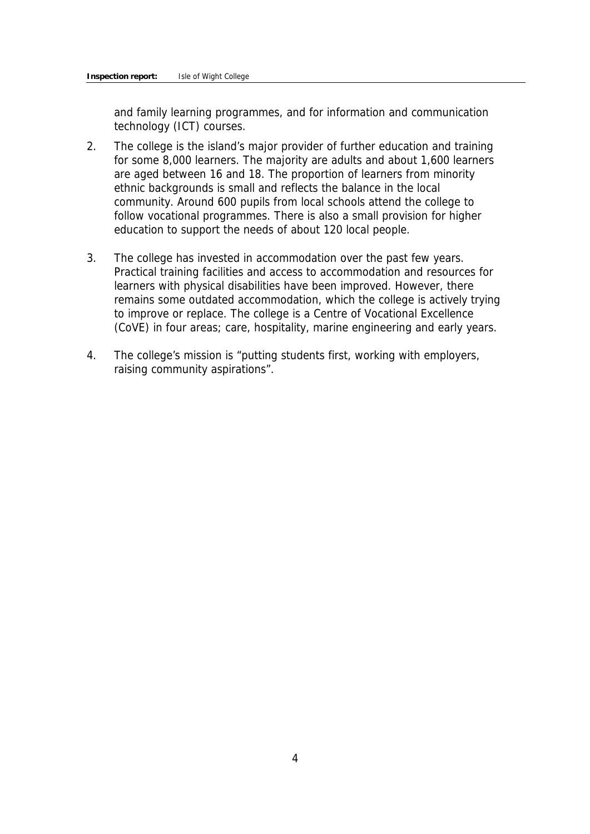and family learning programmes, and for information and communication technology (ICT) courses.

- 2. The college is the island's major provider of further education and training for some 8,000 learners. The majority are adults and about 1,600 learners are aged between 16 and 18. The proportion of learners from minority ethnic backgrounds is small and reflects the balance in the local community. Around 600 pupils from local schools attend the college to follow vocational programmes. There is also a small provision for higher education to support the needs of about 120 local people.
- 3. The college has invested in accommodation over the past few years. Practical training facilities and access to accommodation and resources for learners with physical disabilities have been improved. However, there remains some outdated accommodation, which the college is actively trying to improve or replace. The college is a Centre of Vocational Excellence (CoVE) in four areas; care, hospitality, marine engineering and early years.
- 4. The college's mission is "putting students first, working with employers, raising community aspirations".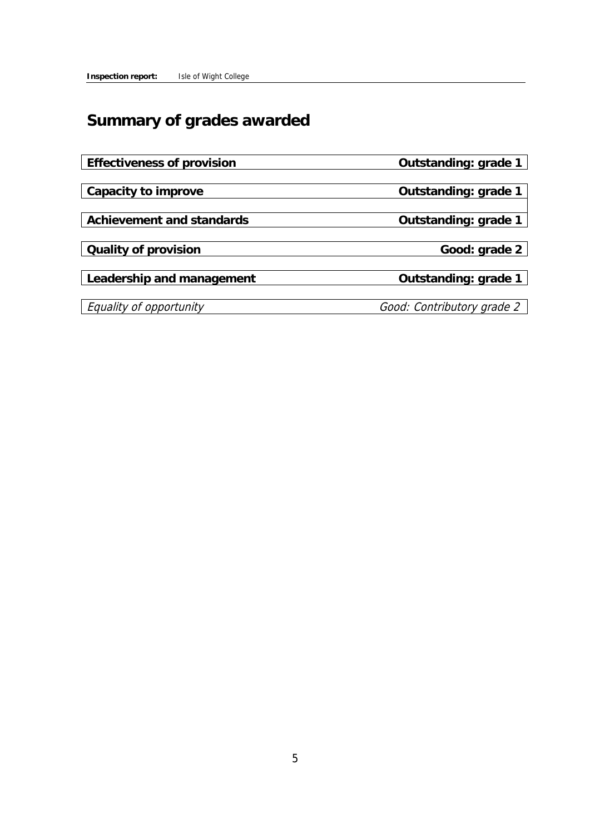# **Summary of grades awarded**

**Effectiveness of provision Outstanding: grade 1**

**Capacity to improve Capacity to improve Capacity to improve Capacity to improve** 

Achievement and standards **COUTS** Outstanding: grade 1

**Cauality of provision** Cuality of provision

**Leadership and management Containers Outstanding: grade 1** 

Equality of opportunity Good: Contributory grade 2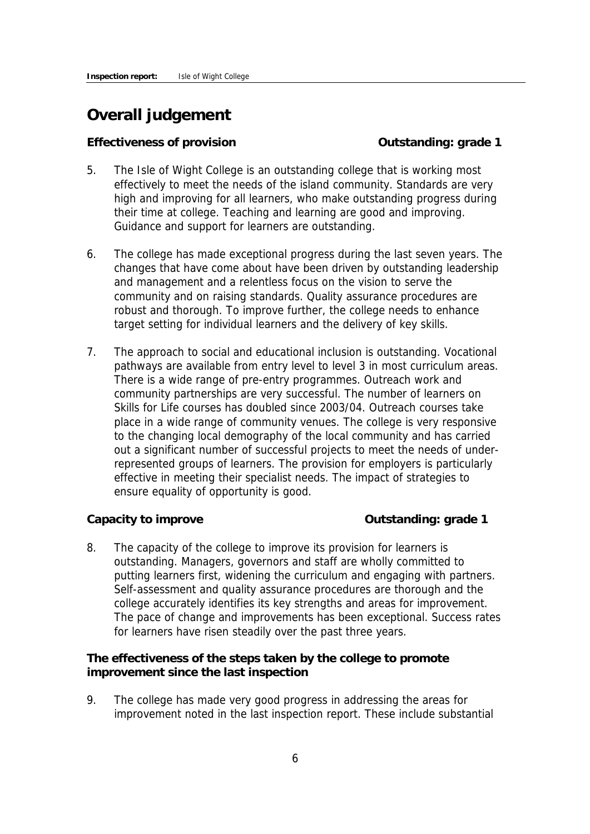## **Overall judgement**

#### **Effectiveness of provision** Content Content Contenting: grade 1

- 5. The Isle of Wight College is an outstanding college that is working most effectively to meet the needs of the island community. Standards are very high and improving for all learners, who make outstanding progress during their time at college. Teaching and learning are good and improving. Guidance and support for learners are outstanding.
- 6. The college has made exceptional progress during the last seven years. The changes that have come about have been driven by outstanding leadership and management and a relentless focus on the vision to serve the community and on raising standards. Quality assurance procedures are robust and thorough. To improve further, the college needs to enhance target setting for individual learners and the delivery of key skills.
- 7. The approach to social and educational inclusion is outstanding. Vocational pathways are available from entry level to level 3 in most curriculum areas. There is a wide range of pre-entry programmes. Outreach work and community partnerships are very successful. The number of learners on Skills for Life courses has doubled since 2003/04. Outreach courses take place in a wide range of community venues. The college is very responsive to the changing local demography of the local community and has carried out a significant number of successful projects to meet the needs of underrepresented groups of learners. The provision for employers is particularly effective in meeting their specialist needs. The impact of strategies to ensure equality of opportunity is good.

**Capacity to improve Capacity to improve Capacity 1** 

8. The capacity of the college to improve its provision for learners is outstanding. Managers, governors and staff are wholly committed to putting learners first, widening the curriculum and engaging with partners. Self-assessment and quality assurance procedures are thorough and the college accurately identifies its key strengths and areas for improvement. The pace of change and improvements has been exceptional. Success rates for learners have risen steadily over the past three years.

**The effectiveness of the steps taken by the college to promote improvement since the last inspection**

9. The college has made very good progress in addressing the areas for improvement noted in the last inspection report. These include substantial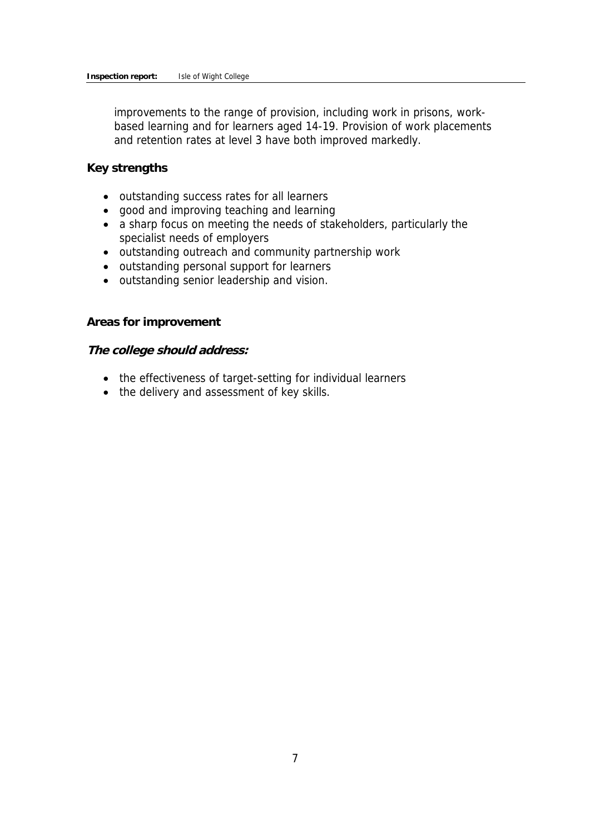improvements to the range of provision, including work in prisons, workbased learning and for learners aged 14-19. Provision of work placements and retention rates at level 3 have both improved markedly.

#### **Key strengths**

- outstanding success rates for all learners
- good and improving teaching and learning
- a sharp focus on meeting the needs of stakeholders, particularly the specialist needs of employers
- outstanding outreach and community partnership work
- outstanding personal support for learners
- outstanding senior leadership and vision.

#### **Areas for improvement**

#### **The college should address:**

- the effectiveness of target-setting for individual learners
- the delivery and assessment of key skills.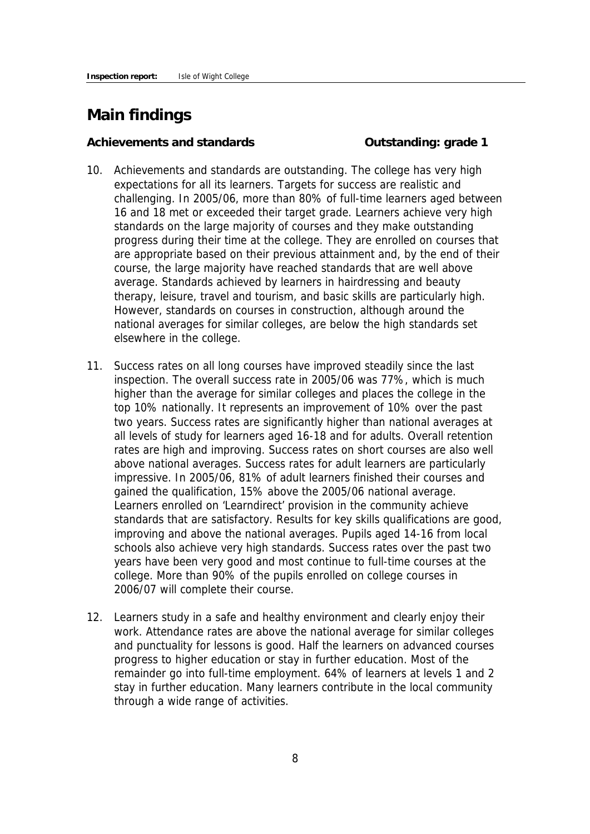## **Main findings**

#### **Achievements and standards Outstanding: grade 1**

- 10. Achievements and standards are outstanding. The college has very high expectations for all its learners. Targets for success are realistic and challenging. In 2005/06, more than 80% of full-time learners aged between 16 and 18 met or exceeded their target grade. Learners achieve very high standards on the large majority of courses and they make outstanding progress during their time at the college. They are enrolled on courses that are appropriate based on their previous attainment and, by the end of their course, the large majority have reached standards that are well above average. Standards achieved by learners in hairdressing and beauty therapy, leisure, travel and tourism, and basic skills are particularly high. However, standards on courses in construction, although around the national averages for similar colleges, are below the high standards set elsewhere in the college.
- 11. Success rates on all long courses have improved steadily since the last inspection. The overall success rate in 2005/06 was 77%, which is much higher than the average for similar colleges and places the college in the top 10% nationally. It represents an improvement of 10% over the past two years. Success rates are significantly higher than national averages at all levels of study for learners aged 16-18 and for adults. Overall retention rates are high and improving. Success rates on short courses are also well above national averages. Success rates for adult learners are particularly impressive. In 2005/06, 81% of adult learners finished their courses and gained the qualification, 15% above the 2005/06 national average. Learners enrolled on 'Learndirect' provision in the community achieve standards that are satisfactory. Results for key skills qualifications are good, improving and above the national averages. Pupils aged 14-16 from local schools also achieve very high standards. Success rates over the past two years have been very good and most continue to full-time courses at the college. More than 90% of the pupils enrolled on college courses in 2006/07 will complete their course.
- 12. Learners study in a safe and healthy environment and clearly enjoy their work. Attendance rates are above the national average for similar colleges and punctuality for lessons is good. Half the learners on advanced courses progress to higher education or stay in further education. Most of the remainder go into full-time employment. 64% of learners at levels 1 and 2 stay in further education. Many learners contribute in the local community through a wide range of activities.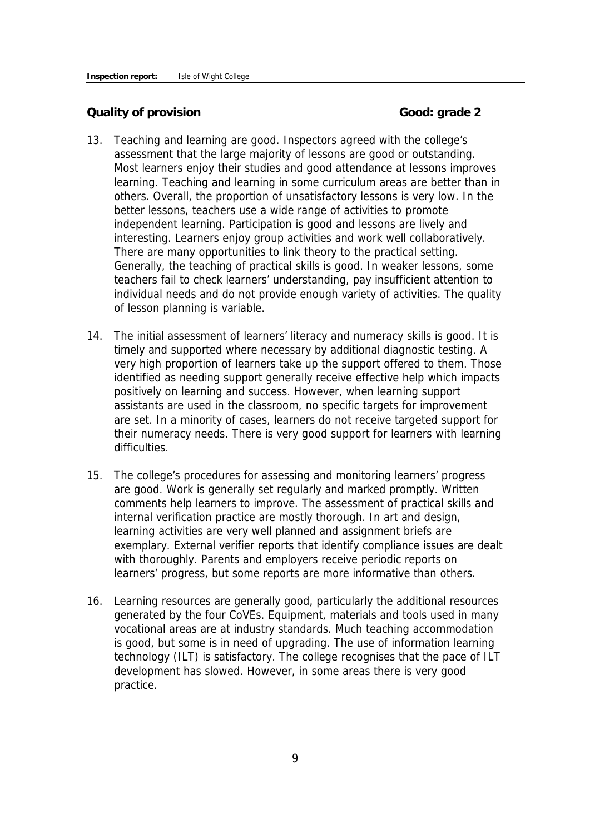#### **Quality of provision Good: grade 2**

- 13. Teaching and learning are good. Inspectors agreed with the college's assessment that the large majority of lessons are good or outstanding. Most learners enjoy their studies and good attendance at lessons improves learning. Teaching and learning in some curriculum areas are better than in others. Overall, the proportion of unsatisfactory lessons is very low. In the better lessons, teachers use a wide range of activities to promote independent learning. Participation is good and lessons are lively and interesting. Learners enjoy group activities and work well collaboratively. There are many opportunities to link theory to the practical setting. Generally, the teaching of practical skills is good. In weaker lessons, some teachers fail to check learners' understanding, pay insufficient attention to individual needs and do not provide enough variety of activities. The quality of lesson planning is variable.
- 14. The initial assessment of learners' literacy and numeracy skills is good. It is timely and supported where necessary by additional diagnostic testing. A very high proportion of learners take up the support offered to them. Those identified as needing support generally receive effective help which impacts positively on learning and success. However, when learning support assistants are used in the classroom, no specific targets for improvement are set. In a minority of cases, learners do not receive targeted support for their numeracy needs. There is very good support for learners with learning difficulties.
- 15. The college's procedures for assessing and monitoring learners' progress are good. Work is generally set regularly and marked promptly. Written comments help learners to improve. The assessment of practical skills and internal verification practice are mostly thorough. In art and design, learning activities are very well planned and assignment briefs are exemplary. External verifier reports that identify compliance issues are dealt with thoroughly. Parents and employers receive periodic reports on learners' progress, but some reports are more informative than others.
- 16. Learning resources are generally good, particularly the additional resources generated by the four CoVEs. Equipment, materials and tools used in many vocational areas are at industry standards. Much teaching accommodation is good, but some is in need of upgrading. The use of information learning technology (ILT) is satisfactory. The college recognises that the pace of ILT development has slowed. However, in some areas there is very good practice.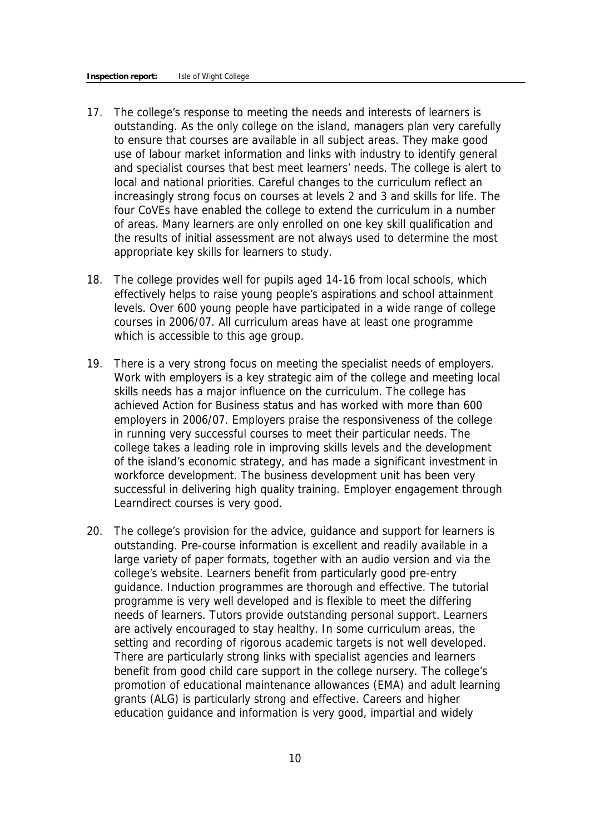- 17. The college's response to meeting the needs and interests of learners is outstanding. As the only college on the island, managers plan very carefully to ensure that courses are available in all subject areas. They make good use of labour market information and links with industry to identify general and specialist courses that best meet learners' needs. The college is alert to local and national priorities. Careful changes to the curriculum reflect an increasingly strong focus on courses at levels 2 and 3 and skills for life. The four CoVEs have enabled the college to extend the curriculum in a number of areas. Many learners are only enrolled on one key skill qualification and the results of initial assessment are not always used to determine the most appropriate key skills for learners to study.
- 18. The college provides well for pupils aged 14-16 from local schools, which effectively helps to raise young people's aspirations and school attainment levels. Over 600 young people have participated in a wide range of college courses in 2006/07. All curriculum areas have at least one programme which is accessible to this age group.
- 19. There is a very strong focus on meeting the specialist needs of employers. Work with employers is a key strategic aim of the college and meeting local skills needs has a major influence on the curriculum. The college has achieved Action for Business status and has worked with more than 600 employers in 2006/07. Employers praise the responsiveness of the college in running very successful courses to meet their particular needs. The college takes a leading role in improving skills levels and the development of the island's economic strategy, and has made a significant investment in workforce development. The business development unit has been very successful in delivering high quality training. Employer engagement through Learndirect courses is very good.
- 20. The college's provision for the advice, guidance and support for learners is outstanding. Pre-course information is excellent and readily available in a large variety of paper formats, together with an audio version and via the college's website. Learners benefit from particularly good pre-entry guidance. Induction programmes are thorough and effective. The tutorial programme is very well developed and is flexible to meet the differing needs of learners. Tutors provide outstanding personal support. Learners are actively encouraged to stay healthy. In some curriculum areas, the setting and recording of rigorous academic targets is not well developed. There are particularly strong links with specialist agencies and learners benefit from good child care support in the college nursery. The college's promotion of educational maintenance allowances (EMA) and adult learning grants (ALG) is particularly strong and effective. Careers and higher education guidance and information is very good, impartial and widely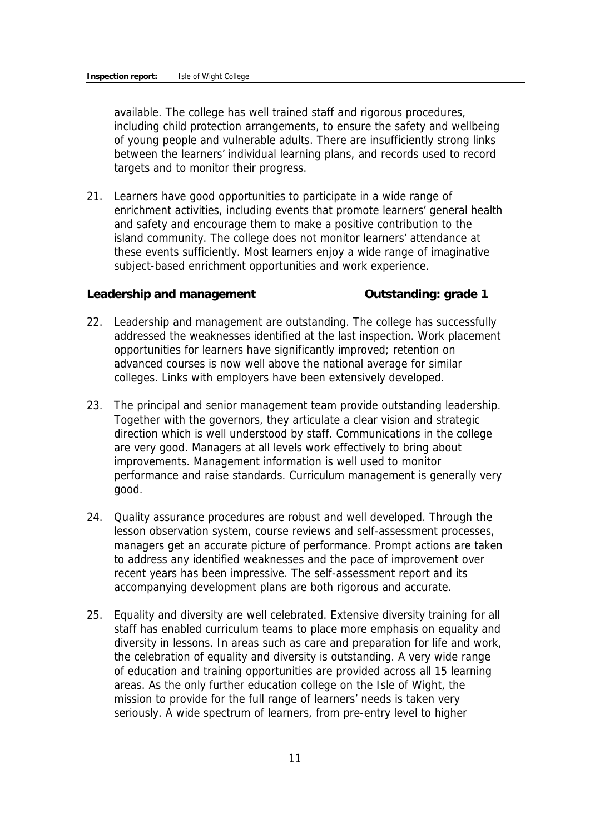available. The college has well trained staff and rigorous procedures, including child protection arrangements, to ensure the safety and wellbeing of young people and vulnerable adults. There are insufficiently strong links between the learners' individual learning plans, and records used to record targets and to monitor their progress.

21. Learners have good opportunities to participate in a wide range of enrichment activities, including events that promote learners' general health and safety and encourage them to make a positive contribution to the island community. The college does not monitor learners' attendance at these events sufficiently. Most learners enjoy a wide range of imaginative subject-based enrichment opportunities and work experience.

**Leadership and management Outstanding: grade 1**

- 22. Leadership and management are outstanding. The college has successfully addressed the weaknesses identified at the last inspection. Work placement opportunities for learners have significantly improved; retention on advanced courses is now well above the national average for similar colleges. Links with employers have been extensively developed.
- 23. The principal and senior management team provide outstanding leadership. Together with the governors, they articulate a clear vision and strategic direction which is well understood by staff. Communications in the college are very good. Managers at all levels work effectively to bring about improvements. Management information is well used to monitor performance and raise standards. Curriculum management is generally very good.
- 24. Quality assurance procedures are robust and well developed. Through the lesson observation system, course reviews and self-assessment processes, managers get an accurate picture of performance. Prompt actions are taken to address any identified weaknesses and the pace of improvement over recent years has been impressive. The self-assessment report and its accompanying development plans are both rigorous and accurate.
- 25. Equality and diversity are well celebrated. Extensive diversity training for all staff has enabled curriculum teams to place more emphasis on equality and diversity in lessons. In areas such as care and preparation for life and work, the celebration of equality and diversity is outstanding. A very wide range of education and training opportunities are provided across all 15 learning areas. As the only further education college on the Isle of Wight, the mission to provide for the full range of learners' needs is taken very seriously. A wide spectrum of learners, from pre-entry level to higher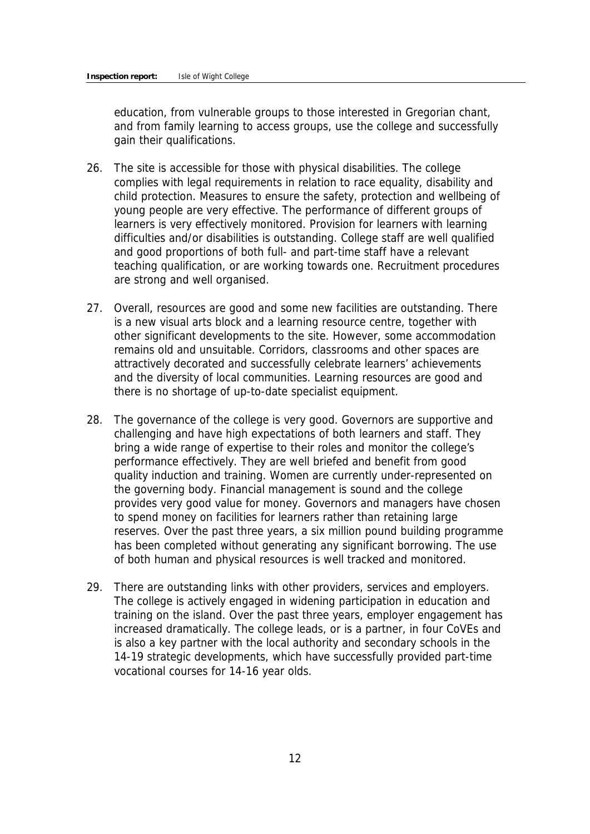education, from vulnerable groups to those interested in Gregorian chant, and from family learning to access groups, use the college and successfully gain their qualifications.

- 26. The site is accessible for those with physical disabilities. The college complies with legal requirements in relation to race equality, disability and child protection. Measures to ensure the safety, protection and wellbeing of young people are very effective. The performance of different groups of learners is very effectively monitored. Provision for learners with learning difficulties and/or disabilities is outstanding. College staff are well qualified and good proportions of both full- and part-time staff have a relevant teaching qualification, or are working towards one. Recruitment procedures are strong and well organised.
- 27. Overall, resources are good and some new facilities are outstanding. There is a new visual arts block and a learning resource centre, together with other significant developments to the site. However, some accommodation remains old and unsuitable. Corridors, classrooms and other spaces are attractively decorated and successfully celebrate learners' achievements and the diversity of local communities. Learning resources are good and there is no shortage of up-to-date specialist equipment.
- 28. The governance of the college is very good. Governors are supportive and challenging and have high expectations of both learners and staff. They bring a wide range of expertise to their roles and monitor the college's performance effectively. They are well briefed and benefit from good quality induction and training. Women are currently under-represented on the governing body. Financial management is sound and the college provides very good value for money. Governors and managers have chosen to spend money on facilities for learners rather than retaining large reserves. Over the past three years, a six million pound building programme has been completed without generating any significant borrowing. The use of both human and physical resources is well tracked and monitored.
- 29. There are outstanding links with other providers, services and employers. The college is actively engaged in widening participation in education and training on the island. Over the past three years, employer engagement has increased dramatically. The college leads, or is a partner, in four CoVEs and is also a key partner with the local authority and secondary schools in the 14-19 strategic developments, which have successfully provided part-time vocational courses for 14-16 year olds.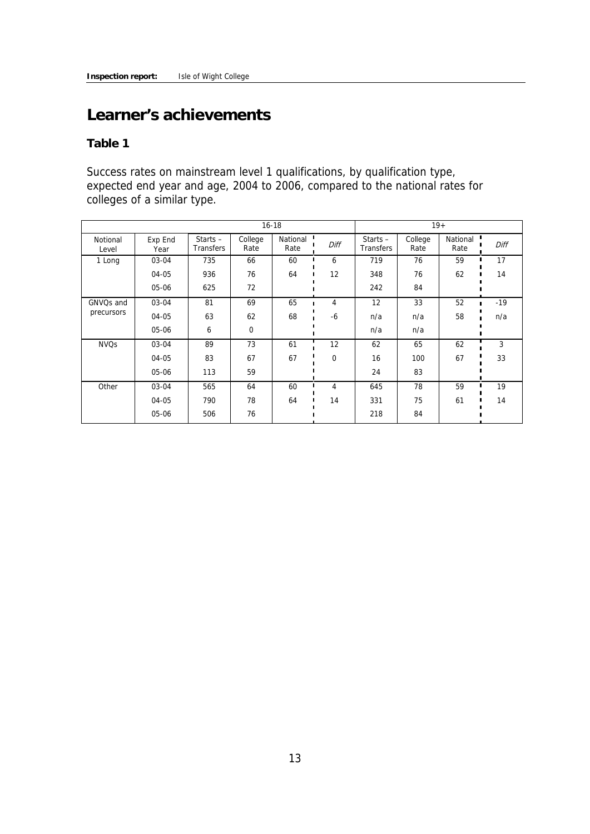## **Learner's achievements**

**Table 1** 

Success rates on mainstream level 1 qualifications, by qualification type, expected end year and age, 2004 to 2006, compared to the national rates for colleges of a similar type.

| $16 - 18$              |                 |                         |                 |                  |          |                                | $19+$           |                  |       |
|------------------------|-----------------|-------------------------|-----------------|------------------|----------|--------------------------------|-----------------|------------------|-------|
| Notional<br>Level      | Exp End<br>Year | Starts $-$<br>Transfers | College<br>Rate | National<br>Rate | Diff     | Starts $-$<br><b>Transfers</b> | College<br>Rate | National<br>Rate | Diff  |
| 1 Long                 | 03-04           | 735                     | 66              | 60               | 6        | 719                            | 76              | 59               | 17    |
|                        | 04-05           | 936                     | 76              | 64               | 12       | 348                            | 76              | 62               | 14    |
|                        | 05-06           | 625                     | 72              |                  |          | 242                            | 84              |                  |       |
| GNVO <sub>s</sub> and  | 03-04           | 81                      | 69              | 65               | 4        | 12                             | 33              | 52               | $-19$ |
| precursors             | 04-05           | 63                      | 62              | 68               | $-6$     | n/a                            | n/a             | 58               | n/a   |
|                        | 05-06           | 6                       | $\mathbf 0$     |                  |          | n/a                            | n/a             |                  |       |
| <b>NVO<sub>S</sub></b> | 03-04           | 89                      | 73              | 61               | 12       | 62                             | 65              | 62               | 3     |
|                        | 04-05           | 83                      | 67              | 67               | $\Omega$ | 16                             | 100             | 67               | 33    |
|                        | 05-06           | 113                     | 59              |                  |          | 24                             | 83              |                  |       |
| Other                  | 03-04           | 565                     | 64              | 60               | 4        | 645                            | 78              | 59               | 19    |
|                        | 04-05           | 790                     | 78              | 64               | 14       | 331                            | 75              | 61               | 14    |
|                        | 05-06           | 506                     | 76              |                  |          | 218                            | 84              |                  |       |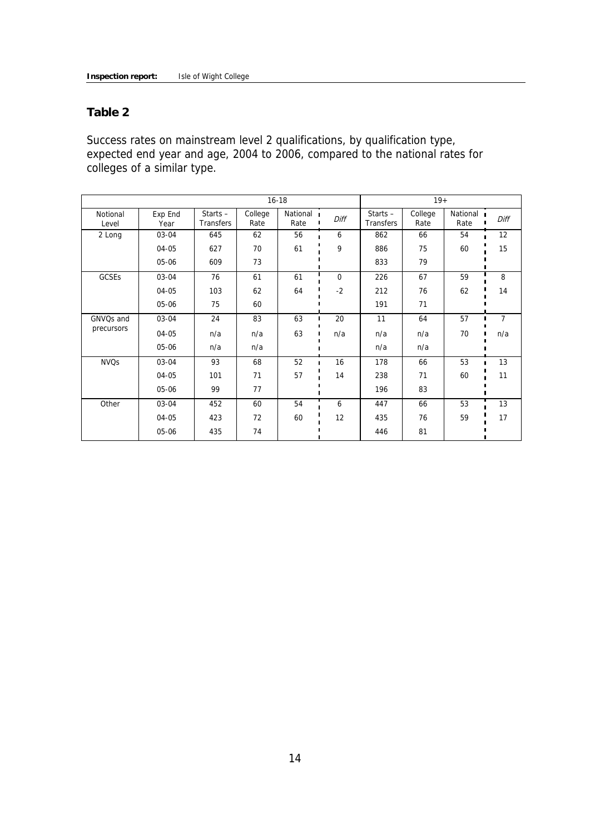#### **Table 2**

Success rates on mainstream level 2 qualifications, by qualification type, expected end year and age, 2004 to 2006, compared to the national rates for colleges of a similar type.

|                   | $16 - 18$       |                         |                 |                    |             | $19+$                   |                 |                  |                |
|-------------------|-----------------|-------------------------|-----------------|--------------------|-------------|-------------------------|-----------------|------------------|----------------|
| Notional<br>Level | Exp End<br>Year | Starts $-$<br>Transfers | College<br>Rate | National 1<br>Rate | Diff        | Starts $-$<br>Transfers | College<br>Rate | National<br>Rate | Diff           |
| 2 Long            | 03-04           | 645                     | 62              | 56                 | 6           | 862                     | 66              | 54               | 12             |
|                   | 04-05           | 627                     | 70              | 61                 | 9           | 886                     | 75              | 60               | 15             |
|                   | 05-06           | 609                     | 73              |                    |             | 833                     | 79              |                  |                |
| <b>GCSEs</b>      | 03-04           | 76                      | 61              | 61                 | $\mathbf 0$ | 226                     | 67              | 59               | 8              |
|                   | 04-05           | 103                     | 62              | 64                 | $-2$        | 212                     | 76              | 62               | 14             |
|                   | 05-06           | 75                      | 60              |                    |             | 191                     | 71              |                  |                |
| GNVQs and         | 03-04           | 24                      | 83              | 63                 | 20<br>П     | 11                      | 64              | 57               | $\overline{7}$ |
| precursors        | 04-05           | n/a                     | n/a             | 63                 | n/a         | n/a                     | n/a             | 70               | n/a            |
|                   | 05-06           | n/a                     | n/a             |                    |             | n/a                     | n/a             |                  |                |
| <b>NVQs</b>       | 03-04           | 93                      | 68              | 52                 | 16          | 178                     | 66              | 53               | 13             |
|                   | 04-05           | 101                     | 71              | 57                 | 14          | 238                     | 71              | 60               | 11             |
|                   | 05-06           | 99                      | 77              |                    |             | 196                     | 83              |                  |                |
| Other             | 03-04           | 452                     | 60              | 54                 | 6           | 447                     | 66              | 53               | 13             |
|                   | 04-05           | 423                     | 72              | 60                 | 12          | 435                     | 76              | 59               | 17             |
|                   | 05-06           | 435                     | 74              |                    |             | 446                     | 81              |                  |                |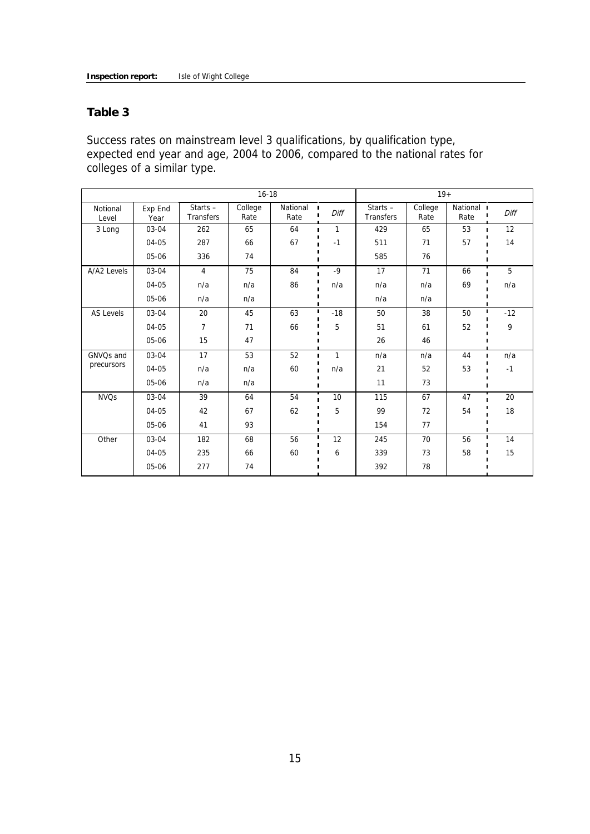#### **Table 3**

Success rates on mainstream level 3 qualifications, by qualification type, expected end year and age, 2004 to 2006, compared to the national rates for colleges of a similar type.

| $16 - 18$              |                 |                                |                 |                  |           | $19+$                          |                 |                    |       |
|------------------------|-----------------|--------------------------------|-----------------|------------------|-----------|--------------------------------|-----------------|--------------------|-------|
| Notional<br>Level      | Exp End<br>Year | Starts $-$<br><b>Transfers</b> | College<br>Rate | National<br>Rate | п<br>Diff | Starts $-$<br><b>Transfers</b> | College<br>Rate | National I<br>Rate | Diff  |
| 3 Long                 | 03-04           | 262                            | 65              | 64               | 1         | 429                            | 65              | 53                 | 12    |
|                        | $04 - 05$       | 287                            | 66              | 67               | $-1$      | 511                            | 71              | 57                 | 14    |
|                        | 05-06           | 336                            | 74              |                  |           | 585                            | 76              |                    |       |
| A/A2 Levels            | 03-04           | $\overline{4}$                 | 75              | 84               | $-9$      | 17                             | 71              | 66                 | 5     |
|                        | 04-05           | n/a                            | n/a             | 86               | n/a       | n/a                            | n/a             | 69                 | n/a   |
|                        | 05-06           | n/a                            | n/a             |                  |           | n/a                            | n/a             |                    |       |
| AS Levels              | 03-04           | 20                             | 45              | 63               | $-18$     | 50                             | 38              | 50                 | $-12$ |
|                        | $04 - 05$       | $\overline{7}$                 | 71              | 66               | 5         | 51                             | 61              | 52                 | 9     |
|                        | 05-06           | 15                             | 47              |                  |           | 26                             | 46              |                    |       |
| GNVQs and              | 03-04           | 17                             | 53              | 52               | 1<br>п    | n/a                            | n/a             | 44                 | n/a   |
| precursors             | 04-05           | n/a                            | n/a             | 60               | n/a       | 21                             | 52              | 53                 | $-1$  |
|                        | 05-06           | n/a                            | n/a             |                  |           | 11                             | 73              |                    |       |
| <b>NVO<sub>S</sub></b> | 03-04           | 39                             | 64              | 54               | 10        | 115                            | 67              | 47                 | 20    |
|                        | 04-05           | 42                             | 67              | 62               | 5         | 99                             | 72              | 54                 | 18    |
|                        | 05-06           | 41                             | 93              |                  |           | 154                            | 77              |                    |       |
| Other                  | 03-04           | 182                            | 68              | 56               | 12        | 245                            | 70              | 56                 | 14    |
|                        | $04 - 05$       | 235                            | 66              | 60               | 6         | 339                            | 73              | 58                 | 15    |
|                        | 05-06           | 277                            | 74              |                  |           | 392                            | 78              |                    |       |